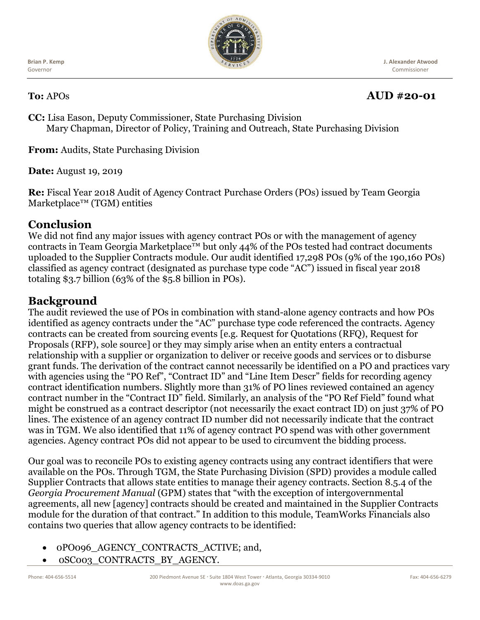

**J. Alexander Atwood** Commissioner

# **To:** APOs **AUD #20-01**

**CC:** Lisa Eason, Deputy Commissioner, State Purchasing Division Mary Chapman, Director of Policy, Training and Outreach, State Purchasing Division

**From:** Audits, State Purchasing Division

**Date:** August 19, 2019

**Re:** Fiscal Year 2018 Audit of Agency Contract Purchase Orders (POs) issued by Team Georgia Marketplace™ (TGM) entities

# **Conclusion**

We did not find any major issues with agency contract POs or with the management of agency contracts in Team Georgia Marketplace™ but only 44% of the POs tested had contract documents uploaded to the Supplier Contracts module. Our audit identified 17,298 POs (9% of the 190,160 POs) classified as agency contract (designated as purchase type code "AC") issued in fiscal year 2018 totaling \$3.7 billion (63% of the \$5.8 billion in POs).

# **Background**

The audit reviewed the use of POs in combination with stand-alone agency contracts and how POs identified as agency contracts under the "AC" purchase type code referenced the contracts. Agency contracts can be created from sourcing events [e.g. Request for Quotations (RFQ), Request for Proposals (RFP), sole source] or they may simply arise when an entity enters a contractual relationship with a supplier or organization to deliver or receive goods and services or to disburse grant funds. The derivation of the contract cannot necessarily be identified on a PO and practices vary with agencies using the "PO Ref", "Contract ID" and "Line Item Descr" fields for recording agency contract identification numbers. Slightly more than 31% of PO lines reviewed contained an agency contract number in the "Contract ID" field. Similarly, an analysis of the "PO Ref Field" found what might be construed as a contract descriptor (not necessarily the exact contract ID) on just 37% of PO lines. The existence of an agency contract ID number did not necessarily indicate that the contract was in TGM. We also identified that 11% of agency contract PO spend was with other government agencies. Agency contract POs did not appear to be used to circumvent the bidding process.

Our goal was to reconcile POs to existing agency contracts using any contract identifiers that were available on the POs. Through TGM, the State Purchasing Division (SPD) provides a module called Supplier Contracts that allows state entities to manage their agency contracts. Section 8.5.4 of the *Georgia Procurement Manual* (GPM) states that "with the exception of intergovernmental agreements, all new [agency] contracts should be created and maintained in the Supplier Contracts module for the duration of that contract." In addition to this module, TeamWorks Financials also contains two queries that allow agency contracts to be identified:

- 0PO096\_AGENCY\_CONTRACTS\_ACTIVE; and,
- 0SC003 CONTRACTS BY AGENCY.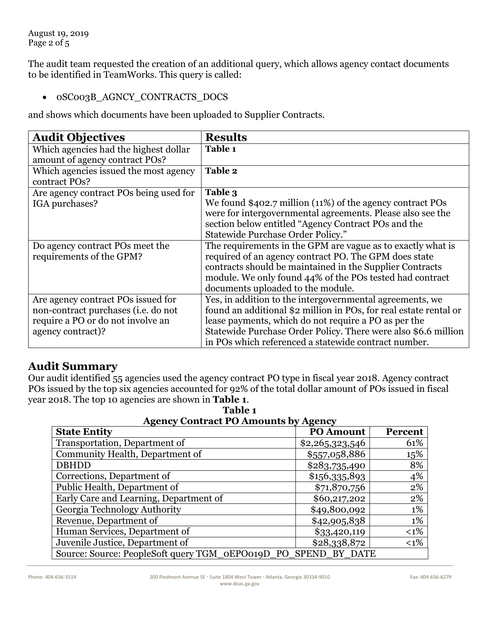The audit team requested the creation of an additional query, which allows agency contact documents to be identified in TeamWorks. This query is called:

• 0SC003B\_AGNCY\_CONTRACTS\_DOCS

and shows which documents have been uploaded to Supplier Contracts.

| <b>Audit Objectives</b>                                                                                                             | <b>Results</b>                                                                                                                                                                                                                                                                                                  |
|-------------------------------------------------------------------------------------------------------------------------------------|-----------------------------------------------------------------------------------------------------------------------------------------------------------------------------------------------------------------------------------------------------------------------------------------------------------------|
| Which agencies had the highest dollar<br>amount of agency contract POs?                                                             | Table 1                                                                                                                                                                                                                                                                                                         |
| Which agencies issued the most agency<br>contract POs?                                                                              | <b>Table 2</b>                                                                                                                                                                                                                                                                                                  |
| Are agency contract POs being used for<br>IGA purchases?                                                                            | Table 3<br>We found $$402.7$ million $(11%)$ of the agency contract POs<br>were for intergovernmental agreements. Please also see the<br>section below entitled "Agency Contract POs and the<br>Statewide Purchase Order Policy."                                                                               |
| Do agency contract POs meet the<br>requirements of the GPM?                                                                         | The requirements in the GPM are vague as to exactly what is<br>required of an agency contract PO. The GPM does state<br>contracts should be maintained in the Supplier Contracts<br>module. We only found 44% of the POs tested had contract<br>documents uploaded to the module.                               |
| Are agency contract POs issued for<br>non-contract purchases (i.e. do not<br>require a PO or do not involve an<br>agency contract)? | Yes, in addition to the intergovernmental agreements, we<br>found an additional \$2 million in POs, for real estate rental or<br>lease payments, which do not require a PO as per the<br>Statewide Purchase Order Policy. There were also \$6.6 million<br>in POs which referenced a statewide contract number. |

### **Audit Summary**

Our audit identified 55 agencies used the agency contract PO type in fiscal year 2018. Agency contract POs issued by the top six agencies accounted for 92% of the total dollar amount of POs issued in fiscal year 2018. The top 10 agencies are shown in **Table 1**.

**Table 1 Agency Contract PO Amounts by Agency**

| <b>State Entity</b>                                            | <b>PO Amount</b> | Percent  |  |  |
|----------------------------------------------------------------|------------------|----------|--|--|
| Transportation, Department of                                  | \$2,265,323,546  | 61%      |  |  |
| Community Health, Department of                                | \$557,058,886    | 15%      |  |  |
| <b>DBHDD</b>                                                   | \$283,735,490    | 8%       |  |  |
| Corrections, Department of                                     | \$156,335,893    | 4%       |  |  |
| Public Health, Department of                                   | \$71,870,756     | 2%       |  |  |
| Early Care and Learning, Department of                         | \$60,217,202     | 2%       |  |  |
| Georgia Technology Authority                                   | \$49,800,092     | 1%       |  |  |
| Revenue, Department of                                         | \$42,905,838     | $1\%$    |  |  |
| Human Services, Department of                                  | \$33,420,119     | ${<}1\%$ |  |  |
| Juvenile Justice, Department of                                | \$28,338,872     | ${<}1\%$ |  |  |
| Source: Source: PeopleSoft query TGM oEPO019D PO SPEND BY DATE |                  |          |  |  |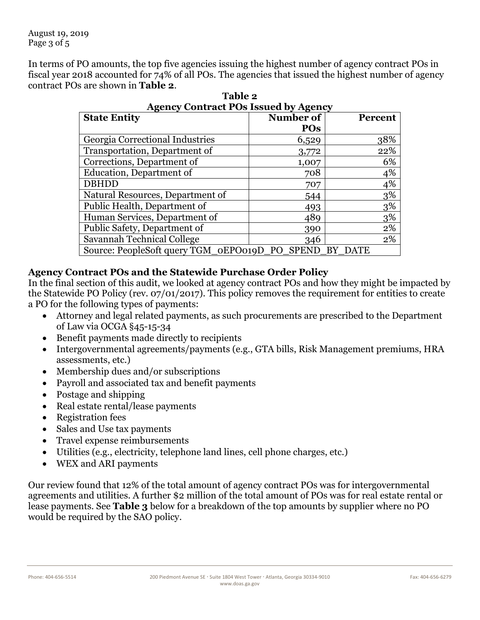August 19, 2019 Page 3 of 5

In terms of PO amounts, the top five agencies issuing the highest number of agency contract POs in fiscal year 2018 accounted for 74% of all POs. The agencies that issued the highest number of agency contract POs are shown in **Table 2**.

| Agency Contract POS Issued by Agency                         |                              |                |  |  |  |
|--------------------------------------------------------------|------------------------------|----------------|--|--|--|
| <b>State Entity</b>                                          | Number of<br>PO <sub>s</sub> | <b>Percent</b> |  |  |  |
| Georgia Correctional Industries                              | 6,529                        | 38%            |  |  |  |
| Transportation, Department of                                | 3,772                        | 22%            |  |  |  |
| Corrections, Department of                                   | 1,007                        | 6%             |  |  |  |
| Education, Department of                                     | 708                          | 4%             |  |  |  |
| <b>DBHDD</b>                                                 | 707                          | 4%             |  |  |  |
| Natural Resources, Department of                             | 544                          | 3%             |  |  |  |
| Public Health, Department of                                 | 493                          | 3%             |  |  |  |
| Human Services, Department of                                | 489                          | 3%             |  |  |  |
| Public Safety, Department of                                 | 390                          | 2%             |  |  |  |
| Savannah Technical College                                   | 346                          | 2%             |  |  |  |
| Source: PeopleSoft query TGM_oEPO019D_PO<br>BY DATE<br>SPEND |                              |                |  |  |  |

| Table 2                                     |
|---------------------------------------------|
| <b>Agency Contract POs Issued by Agency</b> |

### **Agency Contract POs and the Statewide Purchase Order Policy**

In the final section of this audit, we looked at agency contract POs and how they might be impacted by the Statewide PO Policy (rev. 07/01/2017). This policy removes the requirement for entities to create a PO for the following types of payments:

- Attorney and legal related payments, as such procurements are prescribed to the Department of Law via OCGA §45-15-34
- Benefit payments made directly to recipients
- Intergovernmental agreements/payments (e.g., GTA bills, Risk Management premiums, HRA assessments, etc.)
- Membership dues and/or subscriptions
- Payroll and associated tax and benefit payments
- Postage and shipping
- Real estate rental/lease payments
- Registration fees
- Sales and Use tax payments
- Travel expense reimbursements
- Utilities (e.g., electricity, telephone land lines, cell phone charges, etc.)
- WEX and ARI payments

Our review found that 12% of the total amount of agency contract POs was for intergovernmental agreements and utilities. A further \$2 million of the total amount of POs was for real estate rental or lease payments. See **Table 3** below for a breakdown of the top amounts by supplier where no PO would be required by the SAO policy.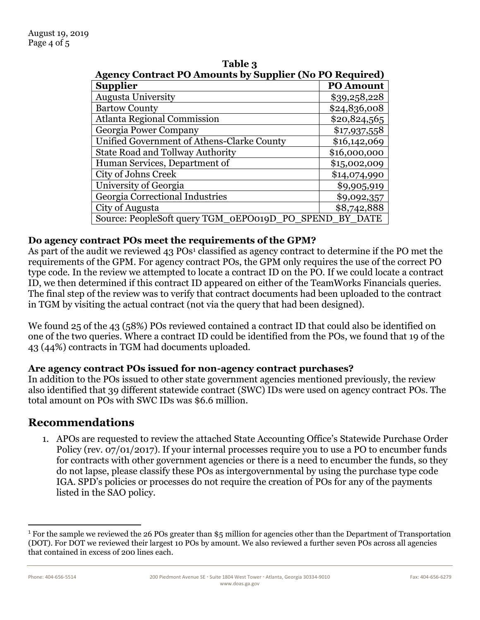| Table 3                                                        |                  |  |  |
|----------------------------------------------------------------|------------------|--|--|
| <b>Agency Contract PO Amounts by Supplier (No PO Required)</b> |                  |  |  |
| <b>Supplier</b>                                                | <b>PO Amount</b> |  |  |
| <b>Augusta University</b>                                      | \$39,258,228     |  |  |
| <b>Bartow County</b>                                           | \$24,836,008     |  |  |
| <b>Atlanta Regional Commission</b>                             | \$20,824,565     |  |  |
| Georgia Power Company                                          | \$17,937,558     |  |  |
| Unified Government of Athens-Clarke County                     | \$16,142,069     |  |  |
| <b>State Road and Tollway Authority</b>                        | \$16,000,000     |  |  |
| Human Services, Department of                                  | \$15,002,009     |  |  |
| City of Johns Creek                                            | \$14,074,990     |  |  |
| University of Georgia                                          | \$9,905,919      |  |  |
| Georgia Correctional Industries                                | \$9,092,357      |  |  |
| City of Augusta                                                | \$8,742,888      |  |  |
| Source: PeopleSoft query TGM_0EPO019D PO<br><b>SPEND</b>       | BY DATE          |  |  |

#### **Do agency contract POs meet the requirements of the GPM?**

As part of the audit we reviewed 43 POs<sup>1</sup> classified as agency contract to determine if the PO met the requirements of the GPM. For agency contract POs, the GPM only requires the use of the correct PO type code. In the review we attempted to locate a contract ID on the PO. If we could locate a contract ID, we then determined if this contract ID appeared on either of the TeamWorks Financials queries. The final step of the review was to verify that contract documents had been uploaded to the contract in TGM by visiting the actual contract (not via the query that had been designed).

We found 25 of the 43 (58%) POs reviewed contained a contract ID that could also be identified on one of the two queries. Where a contract ID could be identified from the POs, we found that 19 of the 43 (44%) contracts in TGM had documents uploaded.

#### **Are agency contract POs issued for non-agency contract purchases?**

In addition to the POs issued to other state government agencies mentioned previously, the review also identified that 39 different statewide contract (SWC) IDs were used on agency contract POs. The total amount on POs with SWC IDs was \$6.6 million.

### **Recommendations**

1. APOs are requested to review the attached State Accounting Office's Statewide Purchase Order Policy (rev. 07/01/2017). If your internal processes require you to use a PO to encumber funds for contracts with other government agencies or there is a need to encumber the funds, so they do not lapse, please classify these POs as intergovernmental by using the purchase type code IGA. SPD's policies or processes do not require the creation of POs for any of the payments listed in the SAO policy.

 $\overline{\phantom{a}}$ 

<sup>&</sup>lt;sup>1</sup> For the sample we reviewed the 26 POs greater than \$5 million for agencies other than the Department of Transportation (DOT). For DOT we reviewed their largest 10 POs by amount. We also reviewed a further seven POs across all agencies that contained in excess of 200 lines each.